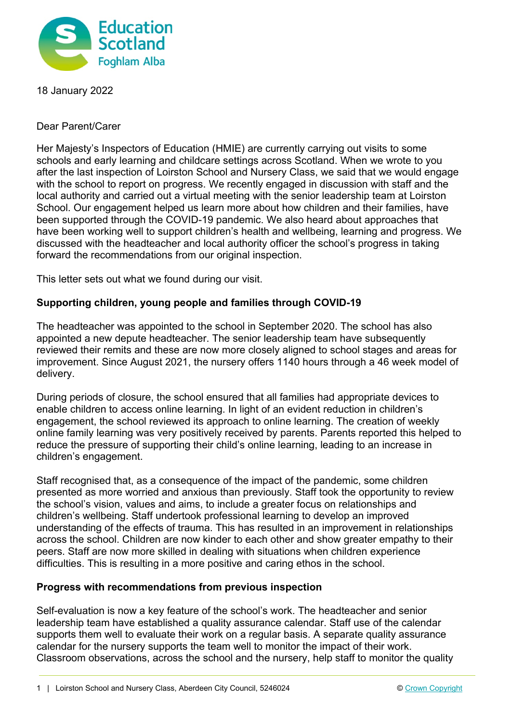

18 January 2022

Dear Parent/Carer

Her Majesty's Inspectors of Education (HMIE) are currently carrying out visits to some schools and early learning and childcare settings across Scotland. When we wrote to you after the last inspection of Loirston School and Nursery Class, we said that we would engage with the school to report on progress. We recently engaged in discussion with staff and the local authority and carried out a virtual meeting with the senior leadership team at Loirston School. Our engagement helped us learn more about how children and their families, have been supported through the COVID-19 pandemic. We also heard about approaches that have been working well to support children's health and wellbeing, learning and progress. We discussed with the headteacher and local authority officer the school's progress in taking forward the recommendations from our original inspection.

This letter sets out what we found during our visit.

## **Supporting children, young people and families through COVID-19**

The headteacher was appointed to the school in September 2020. The school has also appointed a new depute headteacher. The senior leadership team have subsequently reviewed their remits and these are now more closely aligned to school stages and areas for improvement. Since August 2021, the nursery offers 1140 hours through a 46 week model of delivery.

During periods of closure, the school ensured that all families had appropriate devices to enable children to access online learning. In light of an evident reduction in children's engagement, the school reviewed its approach to online learning. The creation of weekly online family learning was very positively received by parents. Parents reported this helped to reduce the pressure of supporting their child's online learning, leading to an increase in children's engagement.

Staff recognised that, as a consequence of the impact of the pandemic, some children presented as more worried and anxious than previously. Staff took the opportunity to review the school's vision, values and aims, to include a greater focus on relationships and children's wellbeing. Staff undertook professional learning to develop an improved understanding of the effects of trauma. This has resulted in an improvement in relationships across the school. Children are now kinder to each other and show greater empathy to their peers. Staff are now more skilled in dealing with situations when children experience difficulties. This is resulting in a more positive and caring ethos in the school.

## **Progress with recommendations from previous inspection**

Self-evaluation is now a key feature of the school's work. The headteacher and senior leadership team have established a quality assurance calendar. Staff use of the calendar supports them well to evaluate their work on a regular basis. A separate quality assurance calendar for the nursery supports the team well to monitor the impact of their work. Classroom observations, across the school and the nursery, help staff to monitor the quality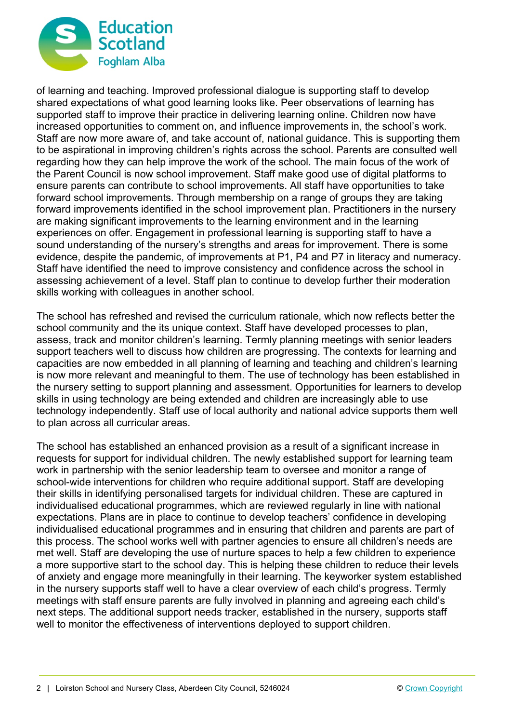

of learning and teaching. Improved professional dialogue is supporting staff to develop shared expectations of what good learning looks like. Peer observations of learning has supported staff to improve their practice in delivering learning online. Children now have increased opportunities to comment on, and influence improvements in, the school's work. Staff are now more aware of, and take account of, national guidance. This is supporting them to be aspirational in improving children's rights across the school. Parents are consulted well regarding how they can help improve the work of the school. The main focus of the work of the Parent Council is now school improvement. Staff make good use of digital platforms to ensure parents can contribute to school improvements. All staff have opportunities to take forward school improvements. Through membership on a range of groups they are taking forward improvements identified in the school improvement plan. Practitioners in the nursery are making significant improvements to the learning environment and in the learning experiences on offer. Engagement in professional learning is supporting staff to have a sound understanding of the nursery's strengths and areas for improvement. There is some evidence, despite the pandemic, of improvements at P1, P4 and P7 in literacy and numeracy. Staff have identified the need to improve consistency and confidence across the school in assessing achievement of a level. Staff plan to continue to develop further their moderation skills working with colleagues in another school.

The school has refreshed and revised the curriculum rationale, which now reflects better the school community and the its unique context. Staff have developed processes to plan, assess, track and monitor children's learning. Termly planning meetings with senior leaders support teachers well to discuss how children are progressing. The contexts for learning and capacities are now embedded in all planning of learning and teaching and children's learning is now more relevant and meaningful to them. The use of technology has been established in the nursery setting to support planning and assessment. Opportunities for learners to develop skills in using technology are being extended and children are increasingly able to use technology independently. Staff use of local authority and national advice supports them well to plan across all curricular areas.

The school has established an enhanced provision as a result of a significant increase in requests for support for individual children. The newly established support for learning team work in partnership with the senior leadership team to oversee and monitor a range of school-wide interventions for children who require additional support. Staff are developing their skills in identifying personalised targets for individual children. These are captured in individualised educational programmes, which are reviewed regularly in line with national expectations. Plans are in place to continue to develop teachers' confidence in developing individualised educational programmes and in ensuring that children and parents are part of this process. The school works well with partner agencies to ensure all children's needs are met well. Staff are developing the use of nurture spaces to help a few children to experience a more supportive start to the school day. This is helping these children to reduce their levels of anxiety and engage more meaningfully in their learning. The keyworker system established in the nursery supports staff well to have a clear overview of each child's progress. Termly meetings with staff ensure parents are fully involved in planning and agreeing each child's next steps. The additional support needs tracker, established in the nursery, supports staff well to monitor the effectiveness of interventions deployed to support children.